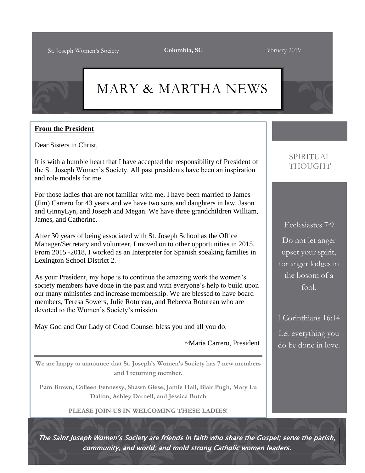# MARY & MARTHA NEWS

#### **From the President**

Dear Sisters in Christ,

It is with a humble heart that I have accepted the responsibility of President of the St. Joseph Women's Society. All past presidents have been an inspiration and role models for me.

For those ladies that are not familiar with me, I have been married to James (Jim) Carrero for 43 years and we have two sons and daughters in law, Jason and GinnyLyn, and Joseph and Megan. We have three grandchildren William, James, and Catherine.

After 30 years of being associated with St. Joseph School as the Office Manager/Secretary and volunteer, I moved on to other opportunities in 2015. From 2015 -2018, I worked as an Interpreter for Spanish speaking families in Lexington School District 2.

As your President, my hope is to continue the amazing work the women's society members have done in the past and with everyone's help to build upon our many ministries and increase membership. We are blessed to have board members, Teresa Sowers, Julie Rotureau, and Rebecca Rotureau who are devoted to the Women's Society's mission.

May God and Our Lady of Good Counsel bless you and all you do.

~Maria Carrero, President

**We are happy to announce that St. Joseph's Women's Society has 7 new members and 1 returning member.**

**Pam Brown, Colleen Fennessy, Shawn Giese, Jamie Hall, Blair Pugh, Mary Lu Dalton, Ashley Darnell, and Jessica Butch**

**PLEASE JOIN US IN WELCOMING THESE LADIES!**

#### SPIRITUAL THOUGHT

Ecclesiastes 7:9 Do not let anger upset your spirit, for anger lodges in the bosom of a fool.

#### I Corinthians 16:14

Let everything you do be done in love.

The Saint Joseph Women's Society are friends in faith who share the Gospel; serve the parish, community, and world; and mold strong Catholic women leaders.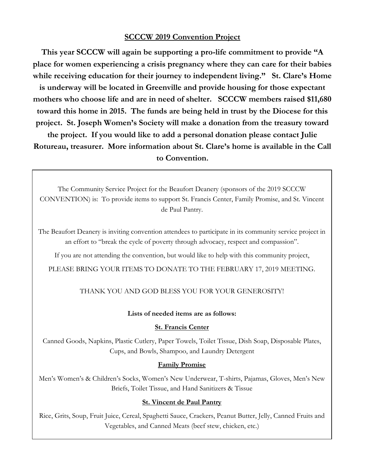#### **SCCCW 2019 Convention Project**

**This year SCCCW will again be supporting a pro-life commitment to provide "A place for women experiencing a crisis pregnancy where they can care for their babies while receiving education for their journey to independent living." St. Clare's Home is underway will be located in Greenville and provide housing for those expectant mothers who choose life and are in need of shelter. SCCCW members raised \$11,680 toward this home in 2015. The funds are being held in trust by the Diocese for this project. St. Joseph Women's Society will make a donation from the treasury toward the project. If you would like to add a personal donation please contact Julie Rotureau, treasurer. More information about St. Clare's home is available in the Call to Convention.**

The Community Service Project for the Beaufort Deanery (sponsors of the 2019 SCCCW CONVENTION) is: To provide items to support St. Francis Center, Family Promise, and St. Vincent de Paul Pantry.

The Beaufort Deanery is inviting convention attendees to participate in its community service project in an effort to "break the cycle of poverty through advocacy, respect and compassion".

If you are not attending the convention, but would like to help with this community project,

PLEASE BRING YOUR ITEMS TO DONATE TO THE FEBRUARY 17, 2019 MEETING.

THANK YOU AND GOD BLESS YOU FOR YOUR GENEROSITY!

#### **Lists of needed items are as follows:**

#### **St. Francis Center**

Canned Goods, Napkins, Plastic Cutlery, Paper Towels, Toilet Tissue, Dish Soap, Disposable Plates, Cups, and Bowls, Shampoo, and Laundry Detergent

#### **Family Promise**

Men's Women's & Children's Socks, Women's New Underwear, T-shirts, Pajamas, Gloves, Men's New Briefs, Toilet Tissue, and Hand Sanitizers & Tissue

#### **St. Vincent de Paul Pantry**

Rice, Grits, Soup, Fruit Juice, Cereal, Spaghetti Sauce, Crackers, Peanut Butter, Jelly, Canned Fruits and Vegetables, and Canned Meats (beef stew, chicken, etc.)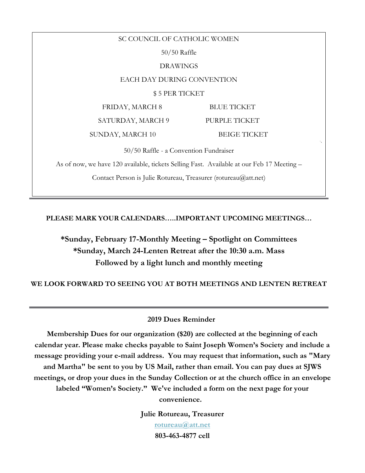SC COUNCIL OF CATHOLIC WOMEN 50/50 Raffle DRAWINGS EACH DAY DURING CONVENTION \$ 5 PER TICKET FRIDAY, MARCH 8 BLUE TICKET SATURDAY, MARCH 9 PURPLE TICKET SUNDAY, MARCH 10 BEIGE TICKET 50/50 Raffle - a Convention Fundraiser As of now, we have 120 available, tickets Selling Fast. Available at our Feb 17 Meeting – Contact Person is Julie Rotureau, Treasurer (rotureau@att.net)

**PLEASE MARK YOUR CALENDARS…..IMPORTANT UPCOMING MEETINGS…**

### **\*Sunday, February 17-Monthly Meeting – Spotlight on Committees \*Sunday, March 24-Lenten Retreat after the 10:30 a.m. Mass Followed by a light lunch and monthly meeting**

**WE LOOK FORWARD TO SEEING YOU AT BOTH MEETINGS AND LENTEN RETREAT**

#### **2019 Dues Reminder**

**Membership Dues for our organization (\$20) are collected at the beginning of each calendar year. Please make checks payable to Saint Joseph Women's Society and include a message providing your e-mail address. You may request that information, such as "Mary and Martha" be sent to you by US Mail, rather than email. You can pay dues at SJWS meetings, or drop your dues in the Sunday Collection or at the church office in an envelope labeled "Women's Society." We've included a form on the next page for your convenience.**

> **Julie Rotureau, Treasurer [rotureau@att.net](mailto:rotureau@att.net) 803-463-4877 cell**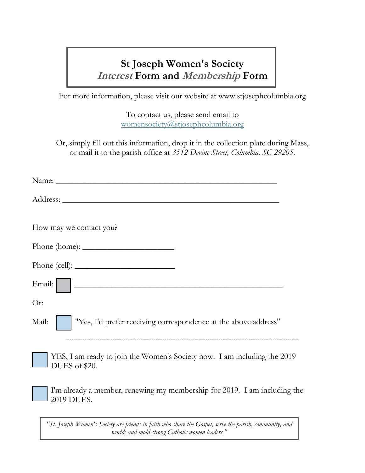# **St Joseph Women's Society Interest Form and Membership Form**

For more information, please visit our website at www.stjosephcolumbia.org

To contact us, please send email to [womensociety@stjosephcolumbia.org](mailto:womensociety@stjosephcolumbia.org)

Or, simply fill out this information, drop it in the collection plate during Mass, or mail it to the parish office at *3512 Devine Street, Columbia, SC 29205*.

| How may we contact you?                                                                   |
|-------------------------------------------------------------------------------------------|
|                                                                                           |
| Phone (cell):                                                                             |
| Email:                                                                                    |
| Or:                                                                                       |
| "Yes, I'd prefer receiving correspondence at the above address"<br>Mail:                  |
| YES, I am ready to join the Women's Society now. I am including the 2019<br>DUES of \$20. |
| I'm already a member, renewing my membership for 2019. I am including the<br>2019 DUES.   |
|                                                                                           |

*"St. Joseph Women's Society are friends in faith who share the Gospel; serve the parish, community, and world; and mold strong Catholic women leaders."*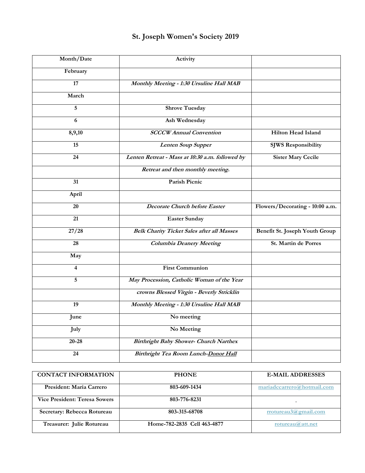## **St. Joseph Women's Society 2019**

| Month/Date      | Activity                                          |                                 |
|-----------------|---------------------------------------------------|---------------------------------|
| February        |                                                   |                                 |
| 17              | Monthly Meeting - 1:30 Ursuline Hall MAB          |                                 |
| March           |                                                   |                                 |
| 5               | <b>Shrove Tuesday</b>                             |                                 |
| $\overline{6}$  | Ash Wednesday                                     |                                 |
| 8,9,10          | <b>SCCCW</b> Annual Convention                    | <b>Hilton Head Island</b>       |
| 15              | <b>Lenten Soup Supper</b>                         | <b>SJWS Responsibility</b>      |
| 24              | Lenten Retreat - Mass at 10:30 a.m. followed by   | <b>Sister Mary Cecile</b>       |
|                 | Retreat and then monthly meeting.                 |                                 |
| 31              | Parish Picnic                                     |                                 |
| April           |                                                   |                                 |
| 20              | <b>Decorate Church before Easter</b>              | Flowers/Decorating - 10:00 a.m. |
| $\overline{21}$ | <b>Easter Sunday</b>                              |                                 |
| 27/28           | <b>Belk Charity Ticket Sales after all Masses</b> | Benefit St. Joseph Youth Group  |
| 28              | <b>Columbia Deanery Meeting</b>                   | St. Martin de Porres            |
| May             |                                                   |                                 |
| $\overline{4}$  | <b>First Communion</b>                            |                                 |
| 5               | May Procession, Catholic Woman of the Year        |                                 |
|                 | crowns Blessed Virgin - Beverly Stricklin         |                                 |
| 19              | Monthly Meeting - 1:30 Ursuline Hall MAB          |                                 |
| June            | No meeting                                        |                                 |
| July            | No Meeting                                        |                                 |
| $20 - 28$       | <b>Birthright Baby Shower- Church Narthex</b>     |                                 |
| 24              | Birthright Tea Room Lunch-Donor Hall              |                                 |

| <b>CONTACT INFORMATION</b>           | <b>PHONE</b>                | <b>E-MAIL ADDRESSES</b>    |
|--------------------------------------|-----------------------------|----------------------------|
| President: Maria Carrero             | 803-609-1434                | mariadccarrero@hotmail.com |
| <b>Vice President: Teresa Sowers</b> | 803-776-8231                |                            |
| Secretary: Rebecca Rotureau          | 803-315-68708               | rrotureau3@gmail.com       |
| Treasurer: Julie Rotureau            | Home-782-2835 Cell 463-4877 | rotureau $\omega$ att.net  |